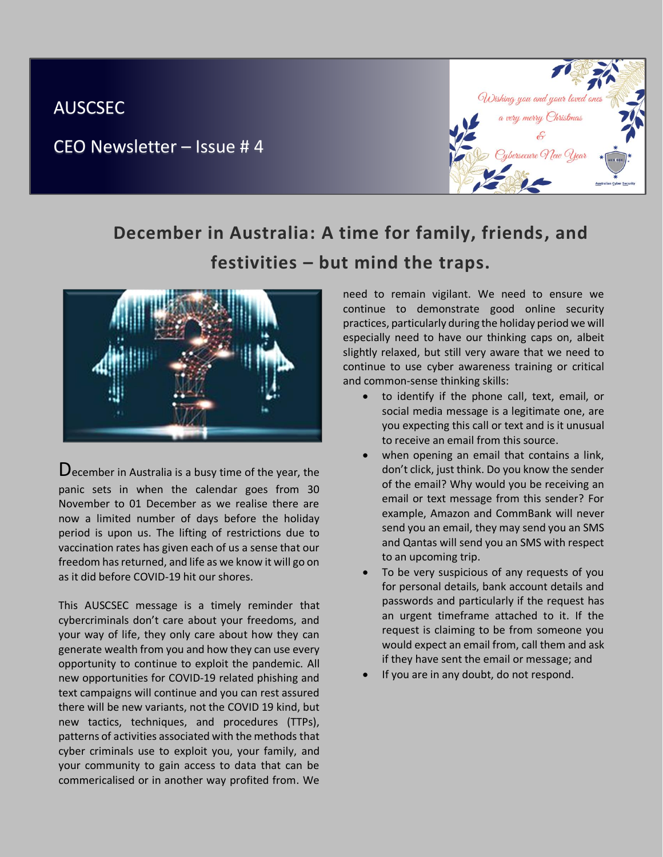## AUSCSEC

CEO Newsletter – Issue # 4



## **December in Australia: A time for family, friends, and festivities – but mind the traps.**



 $\bf D$  ecember in Australia is a busy time of the year, the panic sets in when the calendar goes from 30 November to 01 December as we realise there are now a limited number of days before the holiday period is upon us. The lifting of restrictions due to vaccination rates has given each of us a sense that our freedom has returned, and life as we know it will go on as it did before COVID-19 hit our shores.

This AUSCSEC message is a timely reminder that cybercriminals don't care about your freedoms, and your way of life, they only care about how they can generate wealth from you and how they can use every opportunity to continue to exploit the pandemic. All new opportunities for COVID-19 related phishing and text campaigns will continue and you can rest assured there will be new variants, not the COVID 19 kind, but new tactics, techniques, and procedures (TTPs), patterns of activities associated with the methods that cyber criminals use to exploit you, your family, and your community to gain access to data that can be commericalised or in another way profited from. We

need to remain vigilant. We need to ensure we continue to demonstrate good online security practices, particularly during the holiday period we will especially need to have our thinking caps on, albeit slightly relaxed, but still very aware that we need to continue to use cyber awareness training or critical and common-sense thinking skills:

- to identify if the phone call, text, email, or social media message is a legitimate one, are you expecting this call or text and is it unusual to receive an email from this source.
- when opening an email that contains a link, don't click, just think. Do you know the sender of the email? Why would you be receiving an email or text message from this sender? For example, Amazon and CommBank will never send you an email, they may send you an SMS and Qantas will send you an SMS with respect to an upcoming trip.
- To be very suspicious of any requests of you for personal details, bank account details and passwords and particularly if the request has an urgent timeframe attached to it. If the request is claiming to be from someone you would expect an email from, call them and ask if they have sent the email or message; and
- If you are in any doubt, do not respond.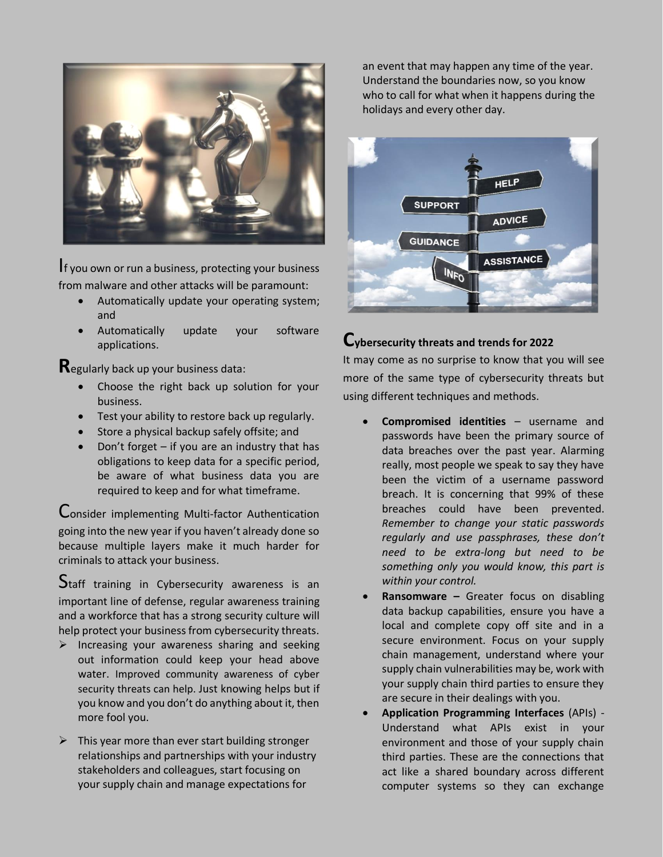

I<sup>f</sup> you own or run a business, protecting your business from malware and other attacks will be paramount:

- Automatically update your operating system; and
- Automatically update your software applications.

**R**egularly back up your business data:

- Choose the right back up solution for your business.
- Test your ability to restore back up regularly.
- Store a physical backup safely offsite; and
- Don't forget  $-$  if you are an industry that has obligations to keep data for a specific period, be aware of what business data you are required to keep and for what timeframe.

Consider implementing Multi-factor Authentication going into the new year if you haven't already done so because multiple layers make it much harder for criminals to attack your business.

Staff training in Cybersecurity awareness is an important line of defense, regular awareness training and a workforce that has a strong security culture will help protect your business from cybersecurity threats.

- $\triangleright$  Increasing your awareness sharing and seeking out information could keep your head above water. Improved community awareness of cyber security threats can help. Just knowing helps but if you know and you don't do anything about it, then more fool you.
- $\triangleright$  This year more than ever start building stronger relationships and partnerships with your industry stakeholders and colleagues, start focusing on your supply chain and manage expectations for

an event that may happen any time of the year. Understand the boundaries now, so you know who to call for what when it happens during the holidays and every other day.



## **Cybersecurity threats and trends for 2022**

It may come as no surprise to know that you will see more of the same type of cybersecurity threats but using different techniques and methods.

- **Compromised identities** username and passwords have been the primary source of data breaches over the past year. Alarming really, most people we speak to say they have been the victim of a username password breach. It is concerning that 99% of these breaches could have been prevented. *Remember to change your static passwords regularly and use passphrases, these don't need to be extra-long but need to be something only you would know, this part is within your control.*
- **Ransomware –** Greater focus on disabling data backup capabilities, ensure you have a local and complete copy off site and in a secure environment. Focus on your supply chain management, understand where your supply chain vulnerabilities may be, work with your supply chain third parties to ensure they are secure in their dealings with you.
- **Application Programming Interfaces** (APIs) Understand what APIs exist in your environment and those of your supply chain third parties. These are the connections that act like a shared boundary across different computer systems so they can exchange